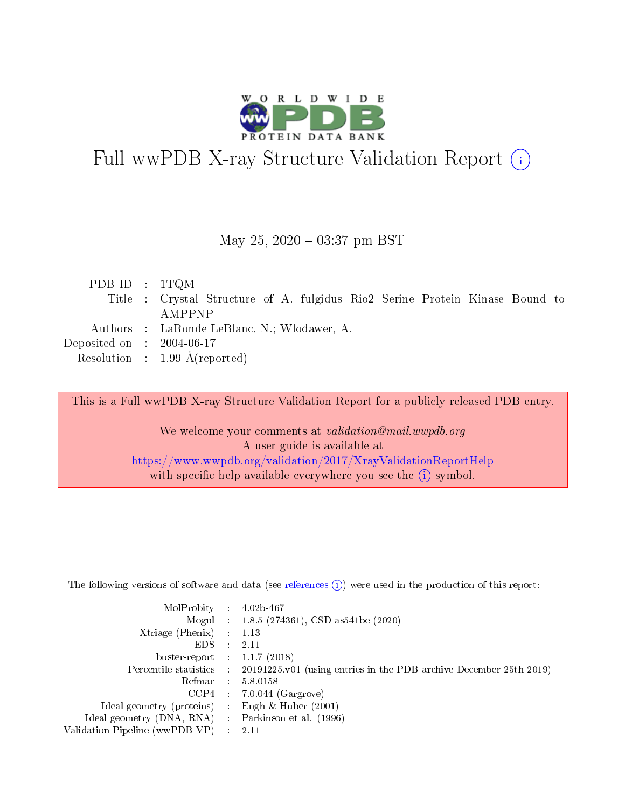

# Full wwPDB X-ray Structure Validation Report (i)

#### May 25,  $2020 - 03:37$  pm BST

| PDB ID : $1TQM$                      |                                                                              |
|--------------------------------------|------------------------------------------------------------------------------|
|                                      | Title : Crystal Structure of A. fulgidus Rio2 Serine Protein Kinase Bound to |
|                                      | AMPPNP                                                                       |
|                                      | Authors : LaRonde-LeBlanc, N.; Wlodawer, A.                                  |
| Deposited on $\therefore$ 2004-06-17 |                                                                              |
|                                      | Resolution : 1.99 $\AA$ (reported)                                           |
|                                      |                                                                              |

This is a Full wwPDB X-ray Structure Validation Report for a publicly released PDB entry.

We welcome your comments at validation@mail.wwpdb.org A user guide is available at <https://www.wwpdb.org/validation/2017/XrayValidationReportHelp> with specific help available everywhere you see the  $(i)$  symbol.

The following versions of software and data (see [references](https://www.wwpdb.org/validation/2017/XrayValidationReportHelp#references)  $(1)$ ) were used in the production of this report:

| MolProbity :                   |               | $4.02b - 467$                                                               |
|--------------------------------|---------------|-----------------------------------------------------------------------------|
|                                |               | Mogul : $1.8.5$ (274361), CSD as 541be (2020)                               |
| Xtriage (Phenix)               | $\mathcal{L}$ | 1.13                                                                        |
| EDS.                           |               | 2.11                                                                        |
| buster-report : $1.1.7$ (2018) |               |                                                                             |
| Percentile statistics :        |               | $20191225 \text{v}01$ (using entries in the PDB archive December 25th 2019) |
| Refmac :                       |               | 5.8.0158                                                                    |
| CCP4                           |               | $7.0.044$ (Gargrove)                                                        |
| Ideal geometry (proteins) :    |               | Engh $\&$ Huber (2001)                                                      |
| Ideal geometry (DNA, RNA) :    |               | Parkinson et al. (1996)                                                     |
| Validation Pipeline (wwPDB-VP) | $\mathcal{L}$ | 2.11                                                                        |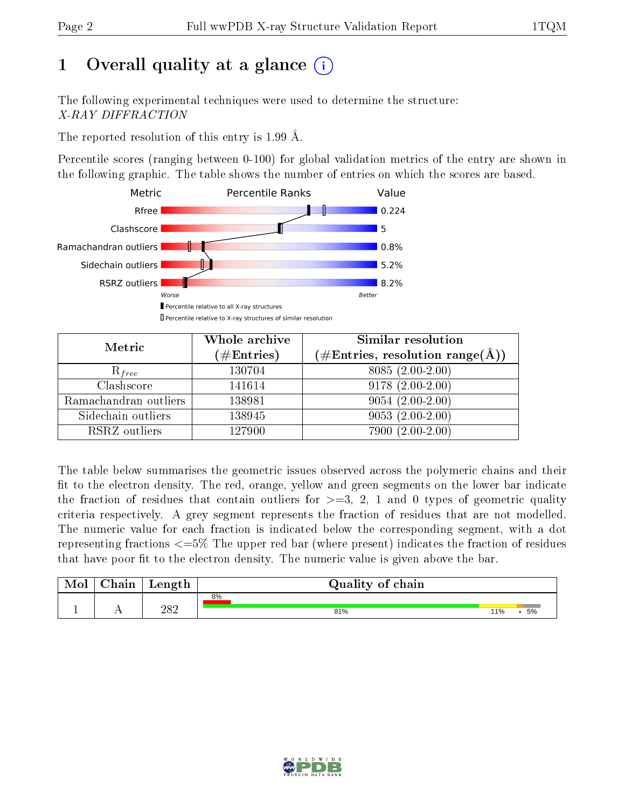# 1 [O](https://www.wwpdb.org/validation/2017/XrayValidationReportHelp#overall_quality)verall quality at a glance  $(i)$

The following experimental techniques were used to determine the structure: X-RAY DIFFRACTION

The reported resolution of this entry is 1.99 Å.

Percentile scores (ranging between 0-100) for global validation metrics of the entry are shown in the following graphic. The table shows the number of entries on which the scores are based.



| Metric                | Whole archive<br>$(\#\text{Entries})$ | Similar resolution<br>$(\#\text{Entries},\, \text{resolution}\; \text{range}(\textup{\AA}))$ |
|-----------------------|---------------------------------------|----------------------------------------------------------------------------------------------|
| $R_{free}$            | 130704                                | $8085(2.00-2.00)$                                                                            |
| Clashscore            | 141614                                | $9178(2.00-2.00)$                                                                            |
| Ramachandran outliers | 138981                                | $9054(2.00-2.00)$                                                                            |
| Sidechain outliers    | 138945                                | $9053(2.00-2.00)$                                                                            |
| RSRZ outliers         | 127900                                | 7900 (2.00-2.00)                                                                             |

The table below summarises the geometric issues observed across the polymeric chains and their fit to the electron density. The red, orange, yellow and green segments on the lower bar indicate the fraction of residues that contain outliers for  $>=3, 2, 1$  and 0 types of geometric quality criteria respectively. A grey segment represents the fraction of residues that are not modelled. The numeric value for each fraction is indicated below the corresponding segment, with a dot representing fractions <=5% The upper red bar (where present) indicates the fraction of residues that have poor fit to the electron density. The numeric value is given above the bar.

| Mol | $\cap$ hain | Length | Quality of chain |     |    |  |  |  |
|-----|-------------|--------|------------------|-----|----|--|--|--|
|     |             |        | 8%               |     |    |  |  |  |
|     |             | 282    | 81%              | 11% | 5% |  |  |  |

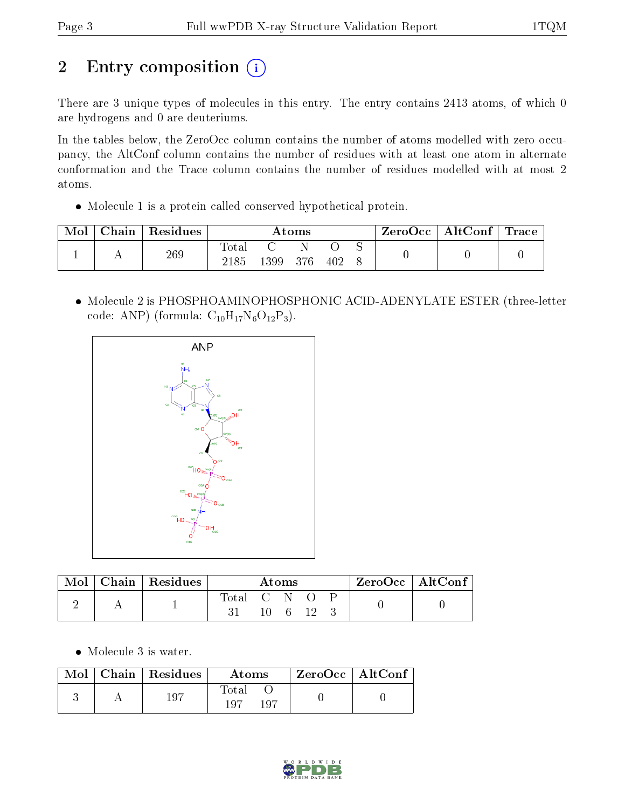# 2 Entry composition (i)

There are 3 unique types of molecules in this entry. The entry contains 2413 atoms, of which 0 are hydrogens and 0 are deuteriums.

In the tables below, the ZeroOcc column contains the number of atoms modelled with zero occupancy, the AltConf column contains the number of residues with at least one atom in alternate conformation and the Trace column contains the number of residues modelled with at most 2 atoms.

Molecule 1 is a protein called conserved hypothetical protein.

| Mol | Chain | Residues | Atoms         |      |     |     | ZeroOcc   AltConf   Trace |  |  |
|-----|-------|----------|---------------|------|-----|-----|---------------------------|--|--|
|     |       | 269      | Total<br>2185 | 1399 | 376 | 402 |                           |  |  |

 Molecule 2 is PHOSPHOAMINOPHOSPHONIC ACID-ADENYLATE ESTER (three-letter code: ANP) (formula:  $C_{10}H_{17}N_6O_{12}P_3$ ).



| Mol | Chain $\overline{\text{Residues}}$ | Atoms       |  |         |  | $ZeroOcc \   \ AltConf \  $ |  |  |
|-----|------------------------------------|-------------|--|---------|--|-----------------------------|--|--|
|     |                                    | Total C N O |  | 10 6 12 |  |                             |  |  |

Molecule 3 is water.

| Mol | $\overline{\phantom{a}}$ Chain   Residues | Atoms               | ZeroOcc   AltConf |  |
|-----|-------------------------------------------|---------------------|-------------------|--|
|     | 197                                       | Total<br>197<br>107 |                   |  |

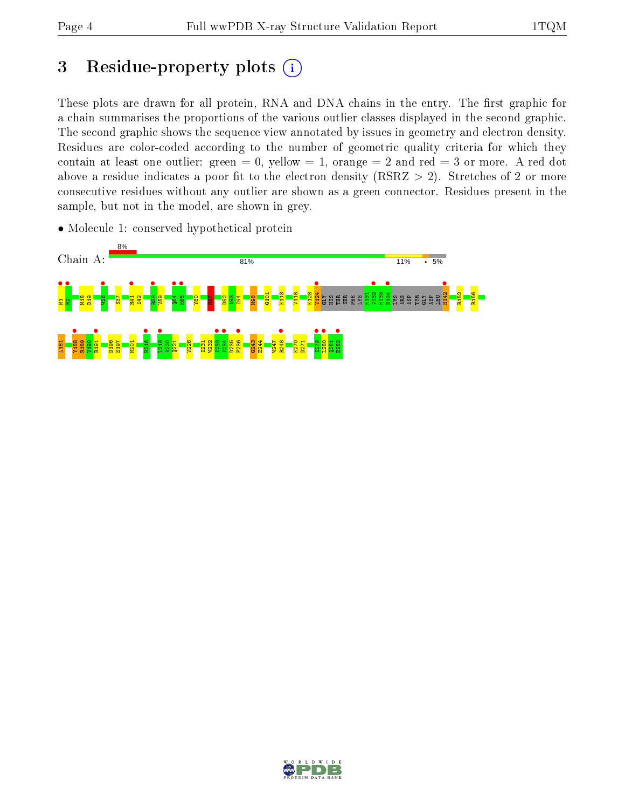# 3 Residue-property plots  $(i)$

These plots are drawn for all protein, RNA and DNA chains in the entry. The first graphic for a chain summarises the proportions of the various outlier classes displayed in the second graphic. The second graphic shows the sequence view annotated by issues in geometry and electron density. Residues are color-coded according to the number of geometric quality criteria for which they contain at least one outlier: green  $= 0$ , yellow  $= 1$ , orange  $= 2$  and red  $= 3$  or more. A red dot above a residue indicates a poor fit to the electron density (RSRZ  $> 2$ ). Stretches of 2 or more consecutive residues without any outlier are shown as a green connector. Residues present in the sample, but not in the model, are shown in grey.

• Molecule 1: conserved hypothetical protein



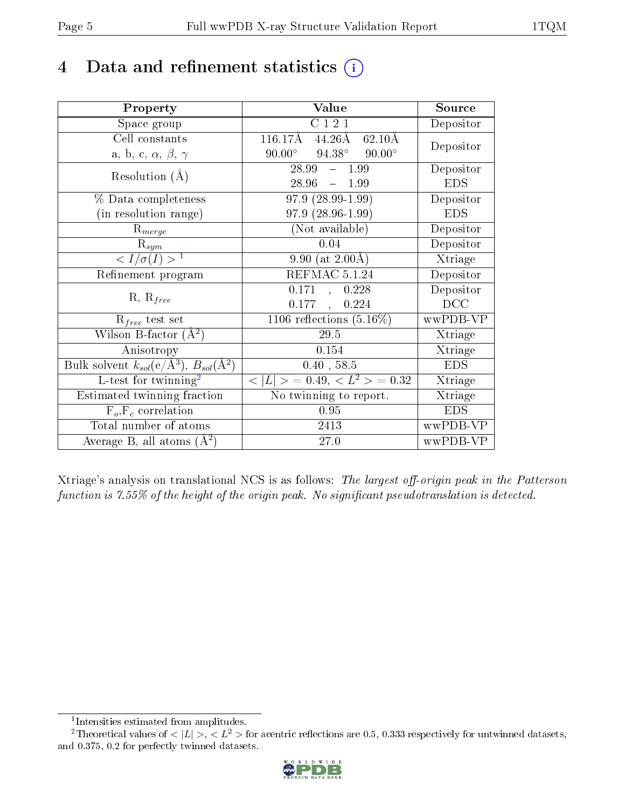# 4 Data and refinement statistics  $(i)$

| Property                                                         | Value                                                              | Source     |
|------------------------------------------------------------------|--------------------------------------------------------------------|------------|
| Space group                                                      | $\overline{C}$ 1 2 1                                               | Depositor  |
| Cell constants                                                   | $116.17\text{\AA}$<br>$44.26\text{\AA}$<br>$62.10\overline{\rm A}$ | Depositor  |
| a, b, c, $\alpha$ , $\beta$ , $\gamma$                           | $94.38^\circ$<br>$90.00^\circ$<br>$90.00^{\circ}$                  |            |
| Resolution $(A)$                                                 | 28.99<br>1.99<br>$\frac{1}{2}$                                     | Depositor  |
|                                                                  | 28.96<br>$-1.99$                                                   | <b>EDS</b> |
| % Data completeness                                              | $97.9(28.99-1.99)$                                                 | Depositor  |
| (in resolution range)                                            | $97.9(28.96-1.99)$                                                 | <b>EDS</b> |
| $R_{merge}$                                                      | (Not available)                                                    | Depositor  |
| $\mathrm{R}_{sym}$                                               | 0.04                                                               | Depositor  |
| $\langle I/\sigma(I) \rangle^{-1}$                               | 9.90 (at $2.00\text{\AA}$ )                                        | Xtriage    |
| Refinement program                                               | REFMAC 5.1.24                                                      | Depositor  |
|                                                                  | 0.171<br>, 0.228                                                   | Depositor  |
| $R, R_{free}$                                                    | 0.177<br>0.224<br>$\mathbf{r}$                                     | DCC        |
| $\mathcal{R}_{free}$ test set                                    | 1106 reflections $(5.16\%)$                                        | wwPDB-VP   |
| Wilson B-factor $(A^2)$                                          | $29.5\,$                                                           | Xtriage    |
| Anisotropy                                                       | 0.154                                                              | Xtriage    |
| Bulk solvent $k_{sol}(e/\mathrm{A}^3)$ , $B_{sol}(\mathrm{A}^2)$ | 0.40, 58.5                                                         | <b>EDS</b> |
| L-test for twinning <sup>2</sup>                                 | $< L >$ = 0.49, $< L2$ = 0.32                                      | Xtriage    |
| Estimated twinning fraction                                      | No twinning to report.                                             | Xtriage    |
| $\overline{F_o, F_c}$ correlation                                | 0.95                                                               | <b>EDS</b> |
| Total number of atoms                                            | 2413                                                               | wwPDB-VP   |
| Average B, all atoms $(A^2)$                                     | 27.0                                                               | wwPDB-VP   |

Xtriage's analysis on translational NCS is as follows: The largest off-origin peak in the Patterson function is  $7.55\%$  of the height of the origin peak. No significant pseudotranslation is detected.

<sup>&</sup>lt;sup>2</sup>Theoretical values of  $\langle |L| \rangle$ ,  $\langle L^2 \rangle$  for acentric reflections are 0.5, 0.333 respectively for untwinned datasets, and 0.375, 0.2 for perfectly twinned datasets.



<span id="page-4-1"></span><span id="page-4-0"></span><sup>1</sup> Intensities estimated from amplitudes.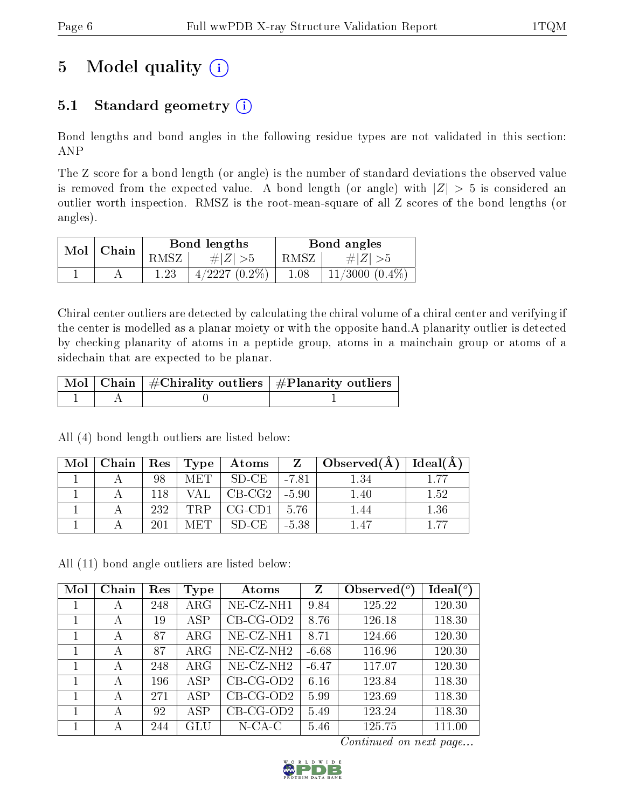# 5 Model quality  $(i)$

## 5.1 Standard geometry  $(i)$

Bond lengths and bond angles in the following residue types are not validated in this section: ANP

The Z score for a bond length (or angle) is the number of standard deviations the observed value is removed from the expected value. A bond length (or angle) with  $|Z| > 5$  is considered an outlier worth inspection. RMSZ is the root-mean-square of all Z scores of the bond lengths (or angles).

| $Mol \mid$ | Chain |          | Bond lengths    | Bond angles |                     |  |
|------------|-------|----------|-----------------|-------------|---------------------|--|
|            |       | RMSZ     | $\# Z  > 5$     | RMSZ I      | # $ Z  > 5$         |  |
|            |       | $1.23\,$ | $4/2227(0.2\%)$ | 1.08        | $11/3000$ $(0.4\%)$ |  |

Chiral center outliers are detected by calculating the chiral volume of a chiral center and verifying if the center is modelled as a planar moiety or with the opposite hand.A planarity outlier is detected by checking planarity of atoms in a peptide group, atoms in a mainchain group or atoms of a sidechain that are expected to be planar.

|  | $\mid$ Mol $\mid$ Chain $\mid$ #Chirality outliers $\mid$ #Planarity outliers $\mid$ |
|--|--------------------------------------------------------------------------------------|
|  |                                                                                      |

Mol Chain Res Type Atoms Z Observed( $\AA$ ) Ideal( $\AA$ ) 1 | A | 98 | MET | SD-CE | -7.81 | 1.34 | 1.77 1 A 118 VAL CB-CG2 -5.90 1.40 1.52 1 | A | 232 | TRP | CG-CD1 | 5.76 | 1.44 | 1.36 1 | A | 201 | MET | SD-CE | -5.38 | 1.47 | 1.77

All (4) bond length outliers are listed below:

All (11) bond angle outliers are listed below:

| Mol | Chain | Res | Type        | Atoms                   | Z       | Observed $(°)$ | $Ideal(^o)$ |
|-----|-------|-----|-------------|-------------------------|---------|----------------|-------------|
|     | А     | 248 | ${\rm ARG}$ | NE-CZ-NH1               | 9.84    | 125.22         | 120.30      |
|     | А     | 19  | ASP         | $CB-CG-OD2$             | 8.76    | 126.18         | 118.30      |
|     | А     | 87  | ${\rm ARG}$ | NE-CZ-NH1               | 8.71    | 124.66         | 120.30      |
|     | А     | 87  | ${\rm ARG}$ | NE-CZ-NH <sub>2</sub>   | $-6.68$ | 116.96         | 120.30      |
|     | А     | 248 | $\rm{ARG}$  | $NE- CZ-NH2$            | $-6.47$ | 117.07         | 120.30      |
|     | А     | 196 | <b>ASP</b>  | $CB-CG-OD2$             | 6.16    | 123.84         | 118.30      |
|     | А     | 271 | ASP         | $\overline{CB}$ -CG-OD2 | 5.99    | 123.69         | 118.30      |
|     | А     | 92  | ASP         | $CB-CG-OD2$             | 5.49    | 123.24         | 118.30      |
|     | А     | 244 | GLU         | $N$ -CA-C               | 5.46    | 125.75         | 111.00      |

Continued on next page...

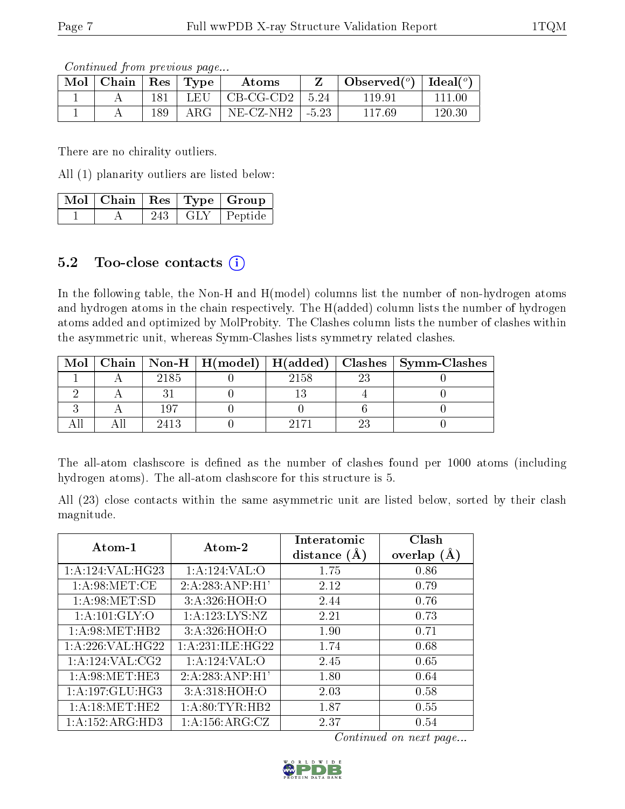Continued from previous page...

| $\bf{Mol}$ | Chain   Res |     | $\perp$ Type | Atoms                          | Observed $(°)$ | Ideal $({}^o)$ |
|------------|-------------|-----|--------------|--------------------------------|----------------|----------------|
|            |             | 181 | LEU          | $\overline{C}$ B-CG-CD2   5.24 | 119.91         | 111 00         |
|            |             | 189 | $\rm{ARG}^-$ | NE-CZ-NH2   -5.23              | 117.69         | $120.30\,$     |

There are no chirality outliers.

All (1) planarity outliers are listed below:

|  |     |     | $\lceil\,\mathrm{Mol}\, \rceil$ Chain $\mid\mathrm{Res}\mid\mathrm{Type}\mid\mathrm{Group}\rangle$ |
|--|-----|-----|----------------------------------------------------------------------------------------------------|
|  | 243 | GLY | Peptide                                                                                            |

### 5.2 Too-close contacts (i)

In the following table, the Non-H and H(model) columns list the number of non-hydrogen atoms and hydrogen atoms in the chain respectively. The H(added) column lists the number of hydrogen atoms added and optimized by MolProbity. The Clashes column lists the number of clashes within the asymmetric unit, whereas Symm-Clashes lists symmetry related clashes.

| Mol |      |      |    | Chain   Non-H   H(model)   H(added)   Clashes   Symm-Clashes |
|-----|------|------|----|--------------------------------------------------------------|
|     | 2185 | 2158 | າາ |                                                              |
|     |      |      |    |                                                              |
|     | 107  |      |    |                                                              |
|     | 2413 |      |    |                                                              |

The all-atom clashscore is defined as the number of clashes found per 1000 atoms (including hydrogen atoms). The all-atom clashscore for this structure is 5.

All (23) close contacts within the same asymmetric unit are listed below, sorted by their clash magnitude.

| Atom-1               | Atom-2              | Interatomic<br>distance $(A)$ | Clash<br>overlap<br>(A) |
|----------------------|---------------------|-------------------------------|-------------------------|
| 1: A: 124: VAL: HG23 | 1:A:124:VAL:O       | 1.75                          | 0.86                    |
| 1: A:98:MET:CE       | 2:A:283:AND:H1'     | 2.12                          | 0.79                    |
| 1: A:98: MET:SD      | 3:A:326:HOH:O       | 2.44                          | 0.76                    |
| 1: A: 101: GLY: O    | 1: A: 123: LYS: NZ  | 2.21                          | 0.73                    |
| 1: A:98: MET:HB2     | 3:A:326:HOH:O       | 1.90                          | 0.71                    |
| $1:$ A:226:VAL:HG22  | 1: A:231: ILE: HG22 | 1.74                          | 0.68                    |
| 1: A:124: VAL: CG2   | 1:A:124:VAL:O       | 2.45                          | 0.65                    |
| 1: A:98: MET:HE3     | 2:A:283:AND:H1'     | 1.80                          | 0.64                    |
| 1:A:197:GLU:HG3      | 3: A:318: HOH:O     | 2.03                          | 0.58                    |
| 1: A:18: MET:HE2     | 1: A:80: TYR:HB2    | 1.87                          | 0.55                    |
| 1: A: 152: ARG: HD3  | 1: A: 156: ARG: CZ  | 2.37                          | 0.54                    |

Continued on next page...

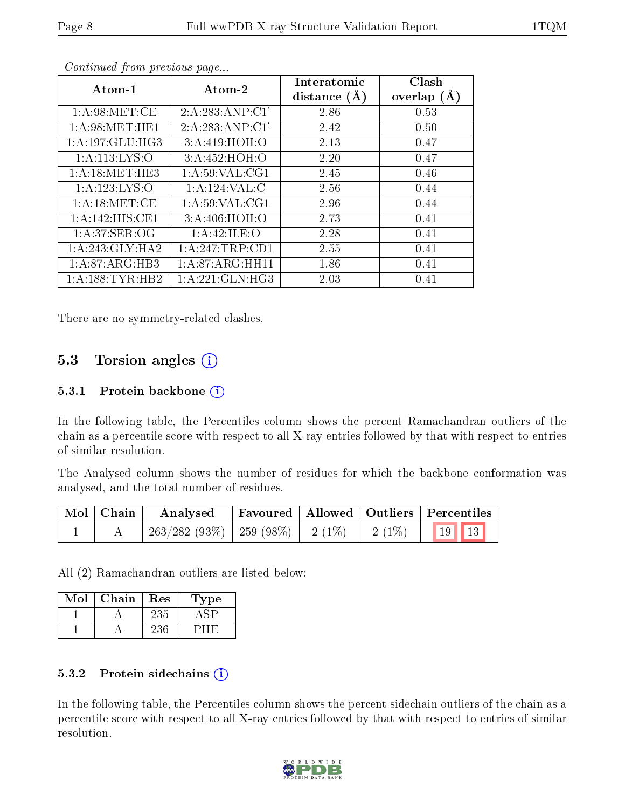| $\rm{Atom\text{-}1}$ | Atom-2             | Interatomic<br>distance $(A)$ | Clash<br>overlap $(A)$ |
|----------------------|--------------------|-------------------------------|------------------------|
| 1: A:98:MET:CE       | 2:A:283:AND:CI'    | 2.86                          | 0.53                   |
| 1: A:98: MET:HE1     | 2:A:283:AND:CI'    | 2.42                          | 0.50                   |
| 1: A: 197: GLU: HG3  | 3:A:419:HOH:O      | 2.13                          | 0.47                   |
| 1: A: 113: LYS: O    | 3:A:452:HOH:O      | 2.20                          | 0.47                   |
| 1: A:18: MET:HE3     | 1: A:59: VAL:CG1   | 2.45                          | 0.46                   |
| 1: A: 123: LYS: O    | 1:A:124:VAL:CD     | 2.56                          | 0.44                   |
| 1: A:18: MET:CE      | 1: A:59: VAL:CG1   | 2.96                          | 0.44                   |
| 1:A:142:HIS:CE1      | 3:A:406:HOH:O      | 2.73                          | 0.41                   |
| 1: A:37: SER:OG      | 1:A:42:ILE:O       | 2.28                          | 0.41                   |
| 1: A:243: GLY:HA2    | 1:A:247:TRP:CD1    | 2.55                          | 0.41                   |
| 1: A:87: ARG:HB3     | 1: A:87: ARG: HH11 | 1.86                          | 0.41                   |
| 1: A: 188: TYR: HB2  | 1: A:221: GLN: HG3 | 2.03                          | 0.41                   |

Continued from previous page...

There are no symmetry-related clashes.

#### 5.3 Torsion angles  $(i)$

#### 5.3.1 Protein backbone  $(i)$

In the following table, the Percentiles column shows the percent Ramachandran outliers of the chain as a percentile score with respect to all X-ray entries followed by that with respect to entries of similar resolution.

The Analysed column shows the number of residues for which the backbone conformation was analysed, and the total number of residues.

| Mol   Chain | Analysed                                                     |  | Favoured   Allowed   Outliers   Percentiles |
|-------------|--------------------------------------------------------------|--|---------------------------------------------|
|             | $\mid$ 263/282 (93%)   259 (98%)   2 (1%)   2 (1%)   19   13 |  |                                             |

All (2) Ramachandran outliers are listed below:

| Mol | Chain | Res  | 1'ype |
|-----|-------|------|-------|
|     |       | -235 |       |
|     |       |      |       |

#### 5.3.2 Protein sidechains  $(i)$

In the following table, the Percentiles column shows the percent sidechain outliers of the chain as a percentile score with respect to all X-ray entries followed by that with respect to entries of similar resolution.

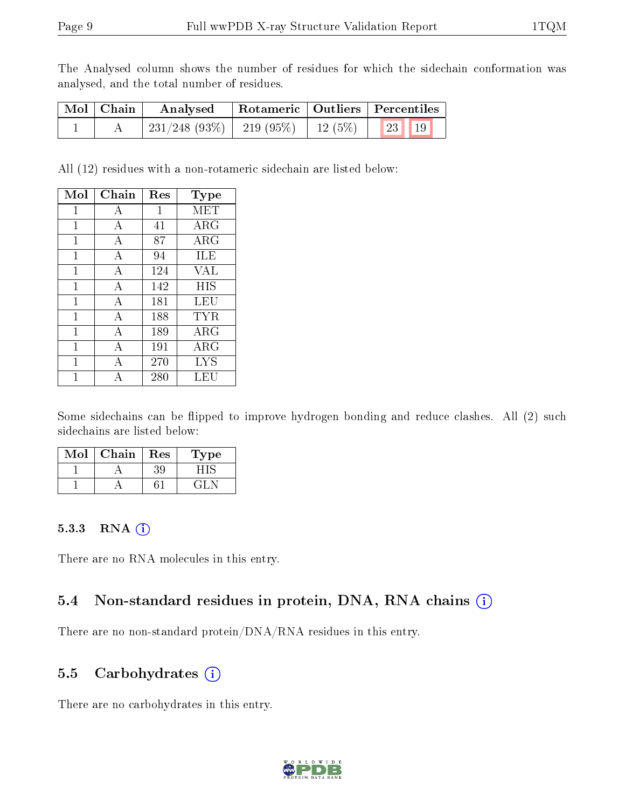The Analysed column shows the number of residues for which the sidechain conformation was analysed, and the total number of residues.

| Mol   Chain | Analysed                                           |  | Rotameric   Outliers   Percentiles |  |
|-------------|----------------------------------------------------|--|------------------------------------|--|
|             | $^+$ 231/248 (93%)   219 (95%)   12 (5%)   23   19 |  |                                    |  |

All (12) residues with a non-rotameric sidechain are listed below:

| Mol | Chain          | Res | Type       |
|-----|----------------|-----|------------|
| 1   | А              | 1   | MET        |
| 1   | A              | 41  | ARG        |
| 1   | А              | 87  | $\rm{ARG}$ |
| 1   | А              | 94  | ILE        |
| 1   | А              | 124 | <b>VAL</b> |
| 1   | $\overline{A}$ | 142 | <b>HIS</b> |
| 1   | А              | 181 | LEU        |
| 1   | А              | 188 | TYR        |
| 1   | А              | 189 | $\rm{ARG}$ |
| 1   | А              | 191 | ARG        |
| 1   | А              | 270 | <b>LYS</b> |
|     |                | 280 | LEU        |

Some sidechains can be flipped to improve hydrogen bonding and reduce clashes. All (2) such sidechains are listed below:

| Mol | Chain | Res | Type  |
|-----|-------|-----|-------|
|     |       | 39  |       |
|     |       |     | -21 - |

#### 5.3.3 RNA (i)

There are no RNA molecules in this entry.

## 5.4 Non-standard residues in protein, DNA, RNA chains (i)

There are no non-standard protein/DNA/RNA residues in this entry.

### 5.5 Carbohydrates (i)

There are no carbohydrates in this entry.

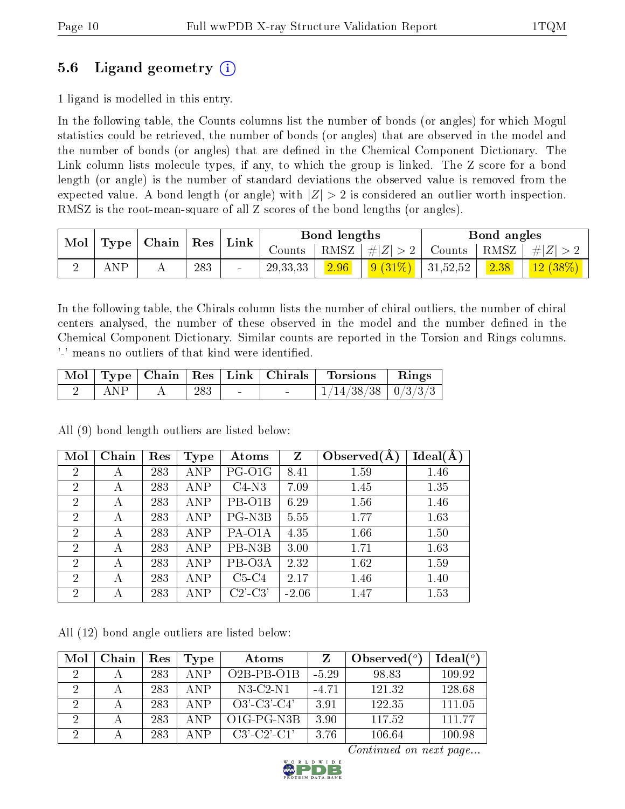## 5.6 Ligand geometry (i)

1 ligand is modelled in this entry.

In the following table, the Counts columns list the number of bonds (or angles) for which Mogul statistics could be retrieved, the number of bonds (or angles) that are observed in the model and the number of bonds (or angles) that are dened in the Chemical Component Dictionary. The Link column lists molecule types, if any, to which the group is linked. The Z score for a bond length (or angle) is the number of standard deviations the observed value is removed from the expected value. A bond length (or angle) with  $|Z| > 2$  is considered an outlier worth inspection. RMSZ is the root-mean-square of all Z scores of the bond lengths (or angles).

| Mol<br>Type | Chain | Res | $\mathbf{Link}$ |                          | Bond lengths |      |                    | Bond angles        |                       |         |
|-------------|-------|-----|-----------------|--------------------------|--------------|------|--------------------|--------------------|-----------------------|---------|
|             |       |     |                 |                          | Counts-      |      | RMSZ   $\# Z  > 2$ | Counts             | $+$ RMSZ <sub>+</sub> | $\# Z $ |
|             |       |     | 283             | $\overline{\phantom{0}}$ | 29, 33, 33   | 2.96 | $9(31\%)$          | $ 31,52,52\rangle$ | 2.38                  | 12(38%) |

In the following table, the Chirals column lists the number of chiral outliers, the number of chiral centers analysed, the number of these observed in the model and the number defined in the Chemical Component Dictionary. Similar counts are reported in the Torsion and Rings columns. '-' means no outliers of that kind were identified.

|     |     |                          | Mol   Type   Chain   Res   Link   Chirals   Torsions   Rings |  |
|-----|-----|--------------------------|--------------------------------------------------------------|--|
| ANP | 283 | <b>Contract Contract</b> | $1/14/38/38$   $0/3/3/3$                                     |  |

All (9) bond length outliers are listed below:

| Mol            | Chain | Res | Type       | Atoms      | $\mathbf{Z}$ | Observed(A) | Ideal(A) |
|----------------|-------|-----|------------|------------|--------------|-------------|----------|
| $\overline{2}$ | А     | 283 | ANP        | PG-O1G     | 8.41         | 1.59        | 1.46     |
| $\overline{2}$ | А     | 283 | ANP        | $C4-N3$    | 7.09         | 1.45        | 1.35     |
| $\overline{2}$ | А     | 283 | ANP        | PB-O1B     | 6.29         | 1.56        | 1.46     |
| $\overline{2}$ | А     | 283 | <b>ANP</b> | PG-N3B     | 5.55         | 1.77        | 1.63     |
| $\overline{2}$ | А     | 283 | <b>ANP</b> | PA-O1A     | 4.35         | 1.66        | 1.50     |
| $\overline{2}$ | А     | 283 | ANP        | PB-N3B     | 3.00         | 1.71        | 1.63     |
| $\overline{2}$ | А     | 283 | <b>ANP</b> | PB-O3A     | 2.32         | 1.62        | 1.59     |
| $\overline{2}$ | А     | 283 | ANP        | $C5-C4$    | 2.17         | 1.46        | 1.40     |
| $\overline{2}$ | А     | 283 | ANP        | $C2$ '-C3' | $-2.06$      | 1.47        | 1.53     |

All (12) bond angle outliers are listed below:

| Mol           | Chain | Res | <b>Type</b> | Atoms                                          |         | Observed $(°)$ | $Ideal(^o)$ |
|---------------|-------|-----|-------------|------------------------------------------------|---------|----------------|-------------|
| $\mathcal{D}$ |       | 283 | <b>ANP</b>  | $O2B-PB-O1B$                                   | $-5.29$ | 98.83          | 109.92      |
| റ             |       | 283 | ANP         | $N3-C2-N1$                                     | $-4.71$ | 121.32         | 128.68      |
| $\Omega$      |       | 283 | A NP        | $O3'$ -C3'-C4'                                 | 3.91    | 122.35         | 111.05      |
| $\Omega$      |       | 283 | A N P       | O <sub>1</sub> G-P <sub>G-N<sub>3</sub>B</sub> | 3.90    | 117.52         | 11177       |
|               |       | 283 | ΔNP         | $C3'$ - $C2'$ - $C1'$                          | 3.76    | 106.64         | 100.98      |

Continued on next page...

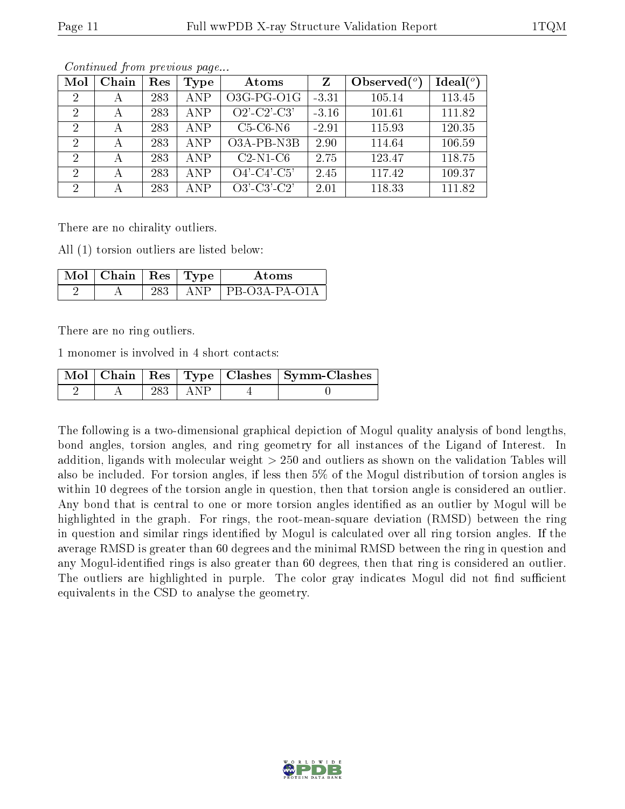| Mol            | Chain        | Res | <b>Type</b> | Atoms          | Z       | Observed $(°)$ | Ideal $(^\circ)$ |
|----------------|--------------|-----|-------------|----------------|---------|----------------|------------------|
| 2              | А            | 283 | <b>ANP</b>  | $O3G-PG-O1G$   | $-3.31$ | 105.14         | 113.45           |
| 2              | А            | 283 | <b>ANP</b>  | $O2'$ -C2'-C3' | $-3.16$ | 101.61         | 111.82           |
| 2              | $\mathbf{A}$ | 283 | <b>ANP</b>  | $C5-C6-N6$     | $-2.91$ | 115.93         | 120.35           |
| $\overline{2}$ | А            | 283 | <b>ANP</b>  | O3A-PB-N3B     | 2.90    | 114.64         | 106.59           |
| 2              | А            | 283 | <b>ANP</b>  | $C2-N1-C6$     | 2.75    | 123.47         | 118.75           |
| 2              | А            | 283 | <b>ANP</b>  | $O4'$ -C4'-C5' | 2.45    | 117.42         | 109.37           |
| -2             | А            | 283 | <b>ANP</b>  | $O3'-C3'-C2'$  | 2.01    | 118.33         | 111.82           |

Continued from previous page...

There are no chirality outliers.

All (1) torsion outliers are listed below:

| Mol | Chain   Res   Type |       | Atoms           |
|-----|--------------------|-------|-----------------|
|     |                    | A N P | $PR-O3A-PA-O1A$ |

There are no ring outliers.

1 monomer is involved in 4 short contacts:

|  |     | $\sqrt{\text{Mol}}$   Chain   Res   Type   Clashes   Symm-Clashes |
|--|-----|-------------------------------------------------------------------|
|  | ANP |                                                                   |

The following is a two-dimensional graphical depiction of Mogul quality analysis of bond lengths, bond angles, torsion angles, and ring geometry for all instances of the Ligand of Interest. In addition, ligands with molecular weight > 250 and outliers as shown on the validation Tables will also be included. For torsion angles, if less then 5% of the Mogul distribution of torsion angles is within 10 degrees of the torsion angle in question, then that torsion angle is considered an outlier. Any bond that is central to one or more torsion angles identified as an outlier by Mogul will be highlighted in the graph. For rings, the root-mean-square deviation (RMSD) between the ring in question and similar rings identified by Mogul is calculated over all ring torsion angles. If the average RMSD is greater than 60 degrees and the minimal RMSD between the ring in question and any Mogul-identified rings is also greater than 60 degrees, then that ring is considered an outlier. The outliers are highlighted in purple. The color gray indicates Mogul did not find sufficient equivalents in the CSD to analyse the geometry.

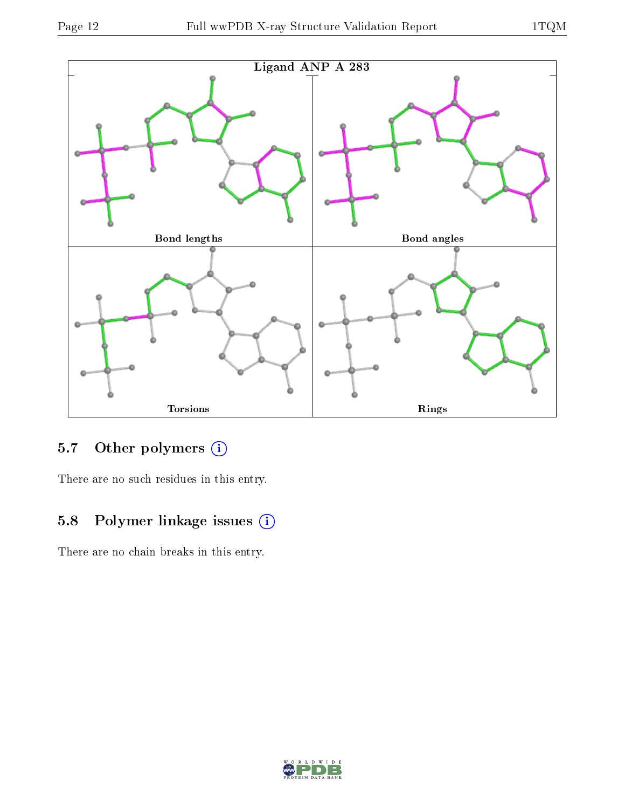

# 5.7 [O](https://www.wwpdb.org/validation/2017/XrayValidationReportHelp#nonstandard_residues_and_ligands)ther polymers (i)

There are no such residues in this entry.

## 5.8 Polymer linkage issues (i)

There are no chain breaks in this entry.

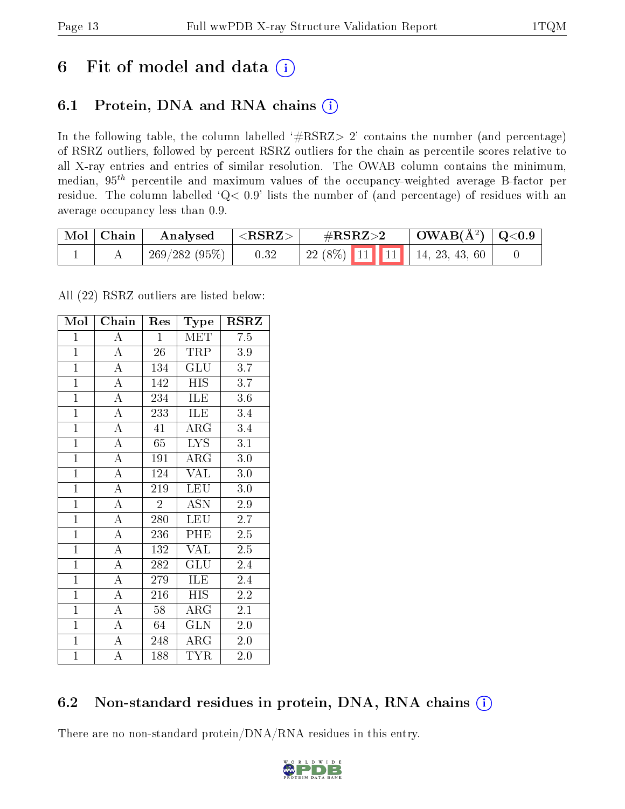# 6 Fit of model and data  $(i)$

## 6.1 Protein, DNA and RNA chains  $(i)$

In the following table, the column labelled  $#RSRZ> 2'$  contains the number (and percentage) of RSRZ outliers, followed by percent RSRZ outliers for the chain as percentile scores relative to all X-ray entries and entries of similar resolution. The OWAB column contains the minimum, median,  $95<sup>th</sup>$  percentile and maximum values of the occupancy-weighted average B-factor per residue. The column labelled ' $Q< 0.9$ ' lists the number of (and percentage) of residues with an average occupancy less than 0.9.

| $\mod$ | Chain | Analysed     | $<$ RSRZ $>$ | $\#\text{RSRZ}\text{>2}$            | $\text{OWAB}(\AA^2)   \text{Q}<0.9$ |  |
|--------|-------|--------------|--------------|-------------------------------------|-------------------------------------|--|
|        |       | 269/282(95%) | 0.32         | $\mid$ 22 (8%) 11 11 14, 23, 43, 60 |                                     |  |

All (22) RSRZ outliers are listed below:

| Mol            | $\overline{\text{Chain}}$ | Res            | Type                    | <b>RSRZ</b>      |
|----------------|---------------------------|----------------|-------------------------|------------------|
| $\mathbf{1}$   | $\overline{A}$            | $\mathbf{1}$   | <b>MET</b>              | 7.5              |
| $\overline{1}$ | $\overline{\rm A}$        | 26             | <b>TRP</b>              | 3.9              |
| $\overline{1}$ | $\overline{A}$            | 134            | $\overline{\text{GLU}}$ | $\overline{3.7}$ |
| $\overline{1}$ | $\overline{\rm A}$        | 142            | <b>HIS</b>              | 3.7              |
| $\overline{1}$ | $\overline{\rm A}$        | 234            | <b>ILE</b>              | $\overline{3.6}$ |
| $\overline{1}$ | $\overline{\rm A}$        | 233            | ILE                     | 3.4              |
| $\mathbf{1}$   | $\overline{A}$            | 41             | $\rm{ARG}$              | 3.4              |
| $\overline{1}$ | $\overline{A}$            | $65\,$         | <b>LYS</b>              | $\overline{3.1}$ |
| $\overline{1}$ | $\overline{\rm A}$        | 191            | $\rm \bar{A}RG$         | 3.0              |
| $\overline{1}$ | $\overline{A}$            | 124            | $\overline{\text{VAL}}$ | 3.0              |
| $\overline{1}$ | $\overline{\rm A}$        | 219            | <b>LEU</b>              | 3.0              |
| $\mathbf{1}$   | $\overline{\rm A}$        | $\overline{2}$ | <b>ASN</b>              | 2.9              |
| $\mathbf{1}$   | $\overline{A}$            | 280            | LEU                     | $\overline{2.7}$ |
| $\overline{1}$ | $\overline{A}$            | 236            | PHE                     | 2.5              |
| $\overline{1}$ | $\overline{A}$            | 132            | $\overline{\text{VAL}}$ | $\overline{2.5}$ |
| $\overline{1}$ | $\overline{\rm A}$        | 282            | GLU                     | 2.4              |
| $\overline{1}$ | $\overline{A}$            | 279            | ILE                     | 2.4              |
| $\overline{1}$ | $\overline{\rm A}$        | 216            | <b>HIS</b>              | $\overline{2.2}$ |
| $\mathbf{1}$   | $\overline{A}$            | 58             | $\rm{ARG}$              | 2.1              |
| $\overline{1}$ | $\overline{A}$            | 64             | $\overline{\text{GLN}}$ | $2.0\,$          |
| $\mathbf{1}$   | $\overline{\rm A}$        | 248            | $\rm{ARG}$              | $2.0\,$          |
| $\mathbf{1}$   | $\overline{\rm A}$        | 188            | <b>TYR</b>              | 2.0              |

### 6.2 Non-standard residues in protein, DNA, RNA chains  $(i)$

There are no non-standard protein/DNA/RNA residues in this entry.